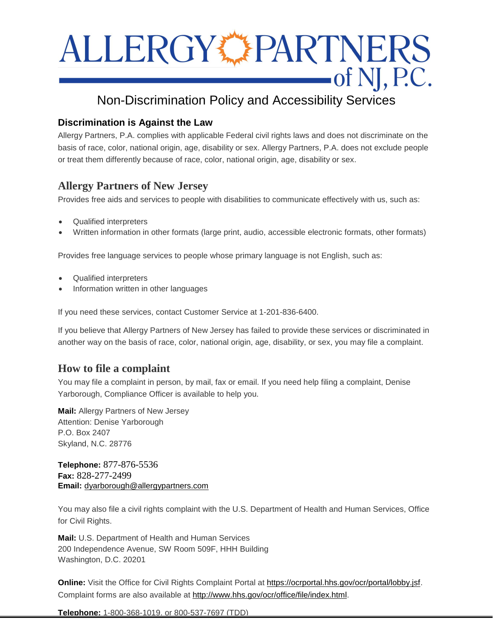# ALLERGY PARTNERS  $\overline{\text{of N}}$ , P.C.

## Non-Discrimination Policy and Accessibility Services

### **Discrimination is Against the Law**

Allergy Partners, P.A. complies with applicable Federal civil rights laws and does not discriminate on the basis of race, color, national origin, age, disability or sex. Allergy Partners, P.A. does not exclude people or treat them differently because of race, color, national origin, age, disability or sex.

## **Allergy Partners of New Jersey**

Provides free aids and services to people with disabilities to communicate effectively with us, such as:

- Qualified interpreters
- Written information in other formats (large print, audio, accessible electronic formats, other formats)

Provides free language services to people whose primary language is not English, such as:

- Qualified interpreters
- Information written in other languages

If you need these services, contact Customer Service at 1-201-836-6400.

If you believe that Allergy Partners of New Jersey has failed to provide these services or discriminated in another way on the basis of race, color, national origin, age, disability, or sex, you may file a complaint.

## **How to file a complaint**

You may file a complaint in person, by mail, fax or email. If you need help filing a complaint, Denise Yarborough, Compliance Officer is available to help you.

**Mail:** Allergy Partners of New Jersey Attention: Denise Yarborough P.O. Box 2407 Skyland, N.C. 28776

**Telephone:** 877-876-5536 **Fax:** 828-277-2499 **Email:** [dyarborough@allergypartners.com](mailto:dyarborough@allergypartners.com)

You may also file a civil rights complaint with the U.S. Department of Health and Human Services, Office for Civil Rights.

**Mail:** U.S. Department of Health and Human Services 200 Independence Avenue, SW Room 509F, HHH Building Washington, D.C. 20201

**Online:** Visit the Office for Civil Rights Complaint Portal at [https://ocrportal.hhs.gov/ocr/portal/lobby.jsf.](https://ocrportal.hhs.gov/ocr/portal/lobby.jsf) Complaint forms are also available at [http://www.hhs.gov/ocr/office/file/index.html.](http://www.hhs.gov/ocr/office/file/index.html)

**Telephone:** 1-800-368-1019, or 800-537-7697 (TDD)